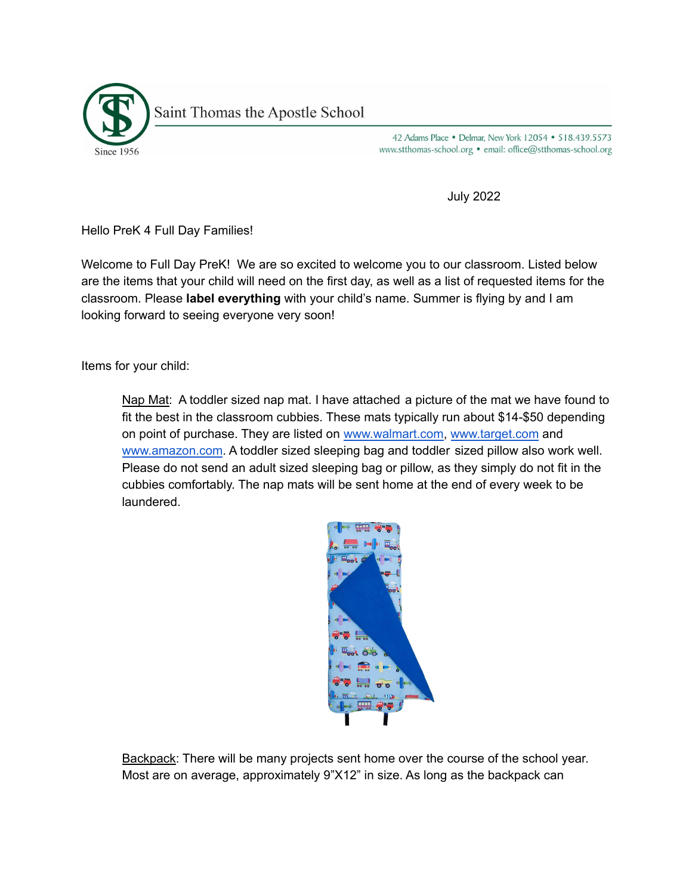

42 Adams Place . Delmar, New York 12054 . 518.439.5573 www.stthomas-school.org • email: office@stthomas-school.org

July 2022

Hello PreK 4 Full Day Families!

Welcome to Full Day PreK! We are so excited to welcome you to our classroom. Listed below are the items that your child will need on the first day, as well as a list of requested items for the classroom. Please **label everything** with your child's name. Summer is flying by and I am looking forward to seeing everyone very soon!

Items for your child:

Nap Mat: A toddler sized nap mat. I have attached a picture of the mat we have found to fit the best in the classroom cubbies. These mats typically run about \$14-\$50 depending on point of purchase. They are listed on [www.walmart.com,](http://www.walmart.com) [www.target.com](http://www.target.com) and [www.amazon.com](http://www.amazon.com). A toddler sized sleeping bag and toddler sized pillow also work well. Please do not send an adult sized sleeping bag or pillow, as they simply do not fit in the cubbies comfortably. The nap mats will be sent home at the end of every week to be laundered.



Backpack: There will be many projects sent home over the course of the school year. Most are on average, approximately 9"X12" in size. As long as the backpack can